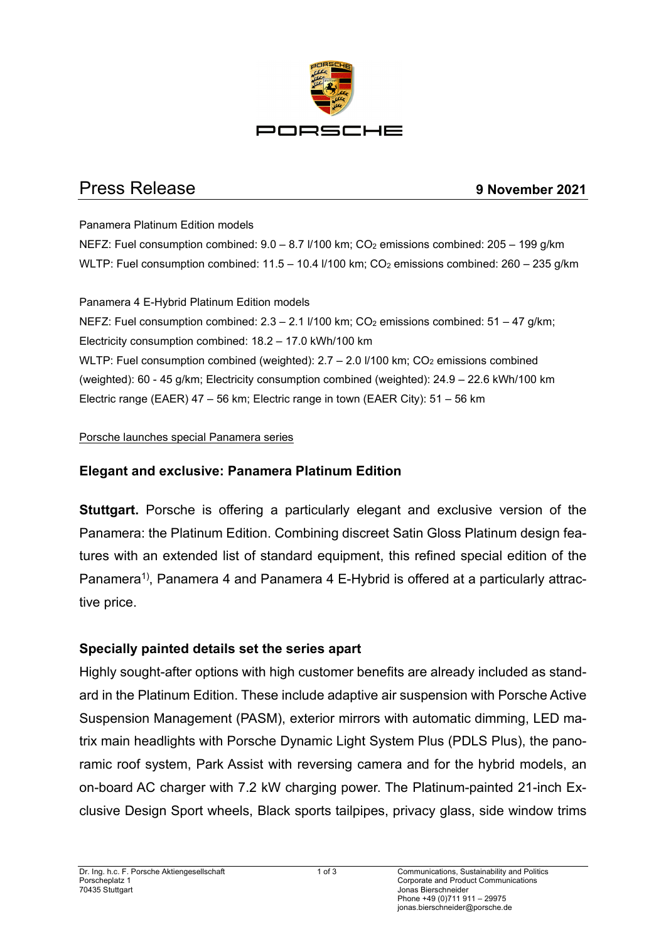

# Press Release **9 November 2021**

#### Panamera Platinum Edition models

NEFZ: Fuel consumption combined:  $9.0 - 8.7$   $V/100$  km;  $CO<sub>2</sub>$  emissions combined:  $205 - 199$  g/km WLTP: Fuel consumption combined:  $11.5 - 10.4$   $I/100$  km; CO<sub>2</sub> emissions combined:  $260 - 235$  g/km

#### Panamera 4 E-Hybrid Platinum Edition models

NEFZ: Fuel consumption combined:  $2.3 - 2.1$   $V100$  km;  $CO<sub>2</sub>$  emissions combined:  $51 - 47$  g/km; Electricity consumption combined: 18.2 – 17.0 kWh/100 km WLTP: Fuel consumption combined (weighted):  $2.7 - 2.0$  I/100 km;  $CO<sub>2</sub>$  emissions combined (weighted): 60 - 45 g/km; Electricity consumption combined (weighted): 24.9 – 22.6 kWh/100 km Electric range (EAER) 47 – 56 km; Electric range in town (EAER City): 51 – 56 km

#### Porsche launches special Panamera series

# **Elegant and exclusive: Panamera Platinum Edition**

**Stuttgart.** Porsche is offering a particularly elegant and exclusive version of the Panamera: the Platinum Edition. Combining discreet Satin Gloss Platinum design features with an extended list of standard equipment, this refined special edition of the Panamera1), Panamera 4 and Panamera 4 E-Hybrid is offered at a particularly attractive price.

## **Specially painted details set the series apart**

Highly sought-after options with high customer benefits are already included as standard in the Platinum Edition. These include adaptive air suspension with Porsche Active Suspension Management (PASM), exterior mirrors with automatic dimming, LED matrix main headlights with Porsche Dynamic Light System Plus (PDLS Plus), the panoramic roof system, Park Assist with reversing camera and for the hybrid models, an on-board AC charger with 7.2 kW charging power. The Platinum-painted 21-inch Exclusive Design Sport wheels, Black sports tailpipes, privacy glass, side window trims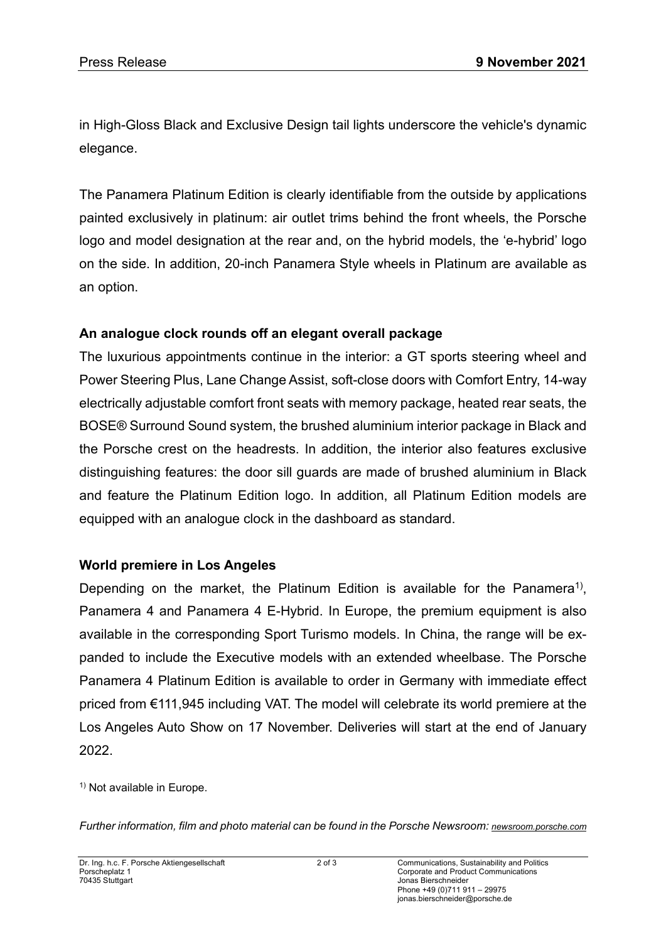in High-Gloss Black and Exclusive Design tail lights underscore the vehicle's dynamic elegance.

The Panamera Platinum Edition is clearly identifiable from the outside by applications painted exclusively in platinum: air outlet trims behind the front wheels, the Porsche logo and model designation at the rear and, on the hybrid models, the 'e-hybrid' logo on the side. In addition, 20-inch Panamera Style wheels in Platinum are available as an option.

### **An analogue clock rounds off an elegant overall package**

The luxurious appointments continue in the interior: a GT sports steering wheel and Power Steering Plus, Lane Change Assist, soft-close doors with Comfort Entry, 14-way electrically adjustable comfort front seats with memory package, heated rear seats, the BOSE® Surround Sound system, the brushed aluminium interior package in Black and the Porsche crest on the headrests. In addition, the interior also features exclusive distinguishing features: the door sill guards are made of brushed aluminium in Black and feature the Platinum Edition logo. In addition, all Platinum Edition models are equipped with an analogue clock in the dashboard as standard.

### **World premiere in Los Angeles**

Depending on the market, the Platinum Edition is available for the Panamera<sup>1)</sup>, Panamera 4 and Panamera 4 E-Hybrid. In Europe, the premium equipment is also available in the corresponding Sport Turismo models. In China, the range will be expanded to include the Executive models with an extended wheelbase. The Porsche Panamera 4 Platinum Edition is available to order in Germany with immediate effect priced from €111,945 including VAT. The model will celebrate its world premiere at the Los Angeles Auto Show on 17 November. Deliveries will start at the end of January 2022.

<sup>1)</sup> Not available in Europe.

*Further information, film and photo material can be found in the Porsche Newsroom[: newsroom.porsche.com](https://newsroom.porsche.com/de.html)*